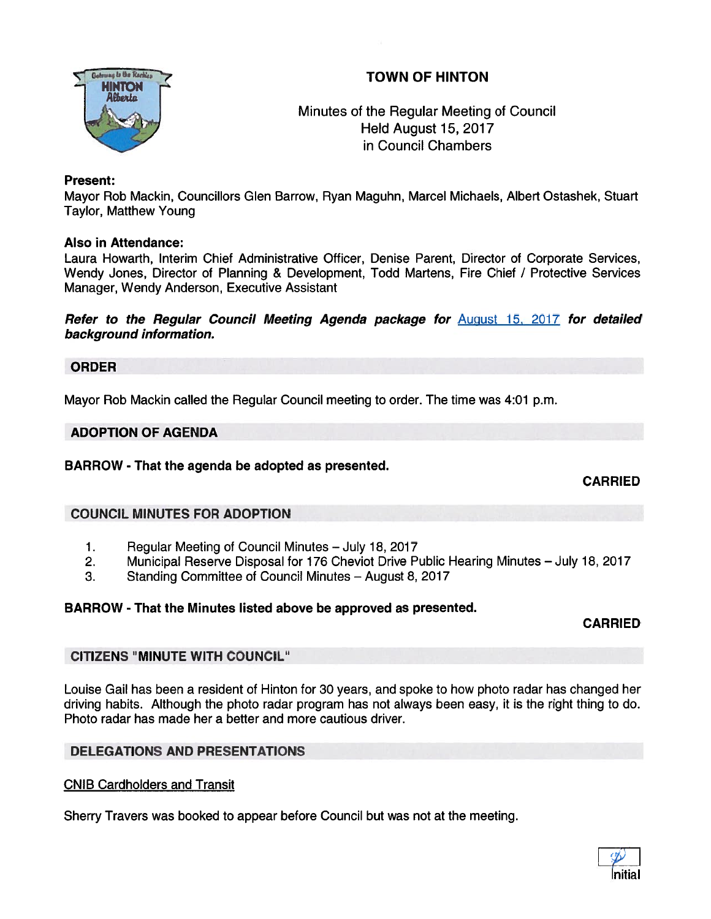# TOWN OF HINTON



Minutes of the Regular Meeting of Council Held August 15, 2017 in Council Chambers

#### Present:

Mayor Rob Mackin, Councillors Glen Barrow, Ryan Maguhn, Marcel Michaels, Albert Ostashek, Stuart Taylor, Matthew Young

#### Also in Attendance:

Laura Howarth, Interim Chief Administrative Officer, Denise Parent, Director of Corporate Services, Wendy Jones, Director of Planning & Development, Todd Martens, Fire Chief / Protective Services Manager, Wendy Anderson, Executive Assistant

Refer to the Regular Council Meeting Agenda package for August 15, 2017 for detailed background information.

#### ORDER

Mayor Rob Mackin called the Regular Council meeting to order. The time was 4:01 p.m.

#### ADOPTION OF AGENDA

#### BARROW - That the agenda be adopted as presented.

CARRIED

#### COUNCIL MINUTES FOR ADOPTION

- 1. Regular Meeting of Council Minutes July 18, 2017
- 2. Municipal Reserve Disposal for 176 Cheviot Drive Public Hearing Minutes July 18, 2017
- 3. Standing Committee of Council Minutes August 8, 2017

#### BARROW - That the Minutes listed above be approved as presented.

#### CARRIED

#### CITIZENS "MINUTE WITH COUNCIL"

Louise Gail has been <sup>a</sup> resident of Hinton for 30 years, and spoke to how photo radar has changed her driving habits. Although the photo radar program has not always been easy, it is the right thing to do. Photo radar has made her <sup>a</sup> better and more cautious driver.

# DELEGATIONS AND PRESENTATIONS

#### CNIB Cardholders and Transit

Sherry Travers was booked to appear before Council but was not at the meeting.

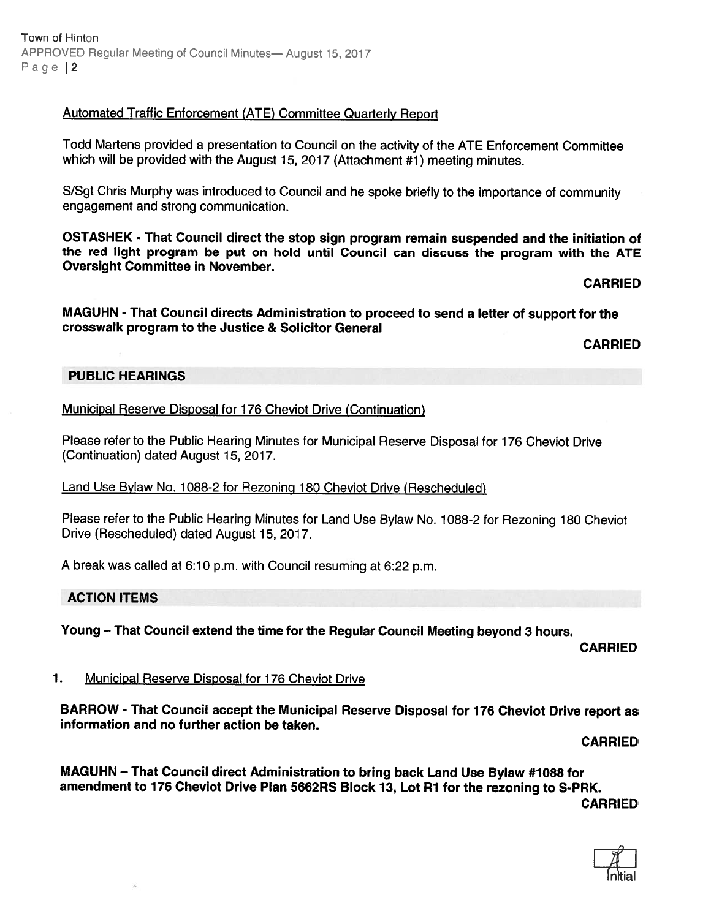# Automated Traffic Enforcement (ATE) Committee Quarterly Report

Todd Martens provided <sup>a</sup> presentation to Council on the activity of the ATE Enforcement Committee which will be provided with the August 15, <sup>2017</sup> (Attachment #1) meeting minutes.

S/Sgt Chris Murphy was introduced to Council and he spoke briefly to the importance of community engagemen<sup>t</sup> and strong communication.

OSTASHEK - That Council direct the stop sign program remain suspended and the initiation of the red light program be pu<sup>t</sup> on hold until Council can discuss the program with the ATE Oversight Committee in November.

#### CARRIED

MAGUHN - That Council directs Administration to procee<sup>d</sup> to send <sup>a</sup> letter of suppor<sup>t</sup> for the crosswalk program to the Justice & Solicitor General

CARRIED

#### PUBLIC HEARINGS

Municipal Reserve Disposal for 176 Cheviot Drive (Continuation)

Please refer to the Public Hearing Minutes for Municipal Reserve Disposal for <sup>176</sup> Cheviot Drive (Continuation) dated August 15, 2017.

#### Land Use Bylaw No. 1088-2 for Rezoning <sup>180</sup> Cheviot Drive (Rescheduled)

Please refer to the Public Hearing Minutes for Land Use Bylaw No. 1088-2 for Rezoning <sup>180</sup> Cheviot Drive (Rescheduled) dated August 15, 2017.

<sup>A</sup> break was called at 6:10 p.m. with Council resuming at 6:22 p.m.

#### ACTION ITEMS

Young — That Council extend the time for the Regular Council Meeting beyond 3 hours.

CARRIED

#### 1. Municipal Reserve Disposal for 176 Cheviot Drive

BARROW - That Council accep<sup>t</sup> the Municipal Reserve Disposal for <sup>176</sup> Cheviot Drive repor<sup>t</sup> as information and no further action be taken.

CARRIED

MAGUHN — That Council direct Administration to bring back Land Use Bylaw #7088 for amendment to 176 Cheviot Drive Plan 5662RS Block 13, Lot R1 for the rezoning to S-PRK. CARRIED

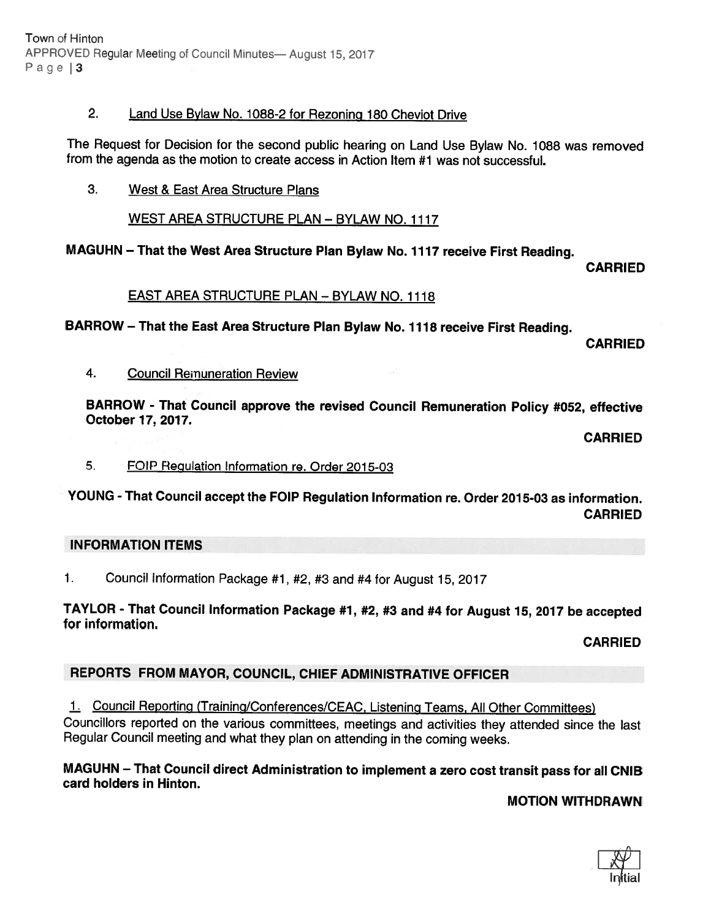Town of Hinton APPROVED Regular Meeting of Council Minutes- August 15, 2017 Page | 3

### 2. Land Use Bylaw No. 1088-2 for Rezoning 180 Cheviot Drive

The Request for Decision for the second public hearing on Land Use Bylaw No. <sup>1088</sup> was removed from the agenda as the motion to create access in Action Item #1 was not successful.

3. West & East Area Structure Plans

WEST AREA STRUCTURE PLAN — BYLAW NO. 1117

# MAGUHN — That the West Area Structure Plan Bylaw No. <sup>1117</sup> receive First Reading.

CARRIED

# EAST AREA STRUCTURE PLAN — BYLAW NO. 1118

BARROW — That the East Area Structure Plan Bylaw No. <sup>1118</sup> receive First Reading.

CARRIED

4. Council Remuneration Review

BARROW - That Council approve the revised Council Remuneration Policy #052, effective October 17. 2017.

CARRIED

5. FOIP Regulation Information re. Order 2015-03

YOUNG - That Council accept the FOIP Regulation Information re. Order 2015-03 as information. CARRIED

# INFORMATION ITEMS

1. Council Information Package #1, #2, #3 and #4 for August 15, <sup>2017</sup>

# TAYLOR - That Council Information Package #1, #2, #3 and #4 for August 15, <sup>2017</sup> be accepted for information.

CARRIED

# REPORTS FROM MAYOR, COUNCIL, CHIEF ADMINISTRATIVE OFFICER

1. Council Reporting (Training/Conterences/CEAC, Listening Teams. All Other Committees) Councillors reported on the various committees, meetings and activities they attended since the last

Regular Council meeting and what they <sup>p</sup>lan on attending in the coming weeks.

# MAGUHN — That Council direct Administration to implement <sup>a</sup> zero cost transit pass for all CNIB card holders in Hinton.

MOTION WITHDRAWN

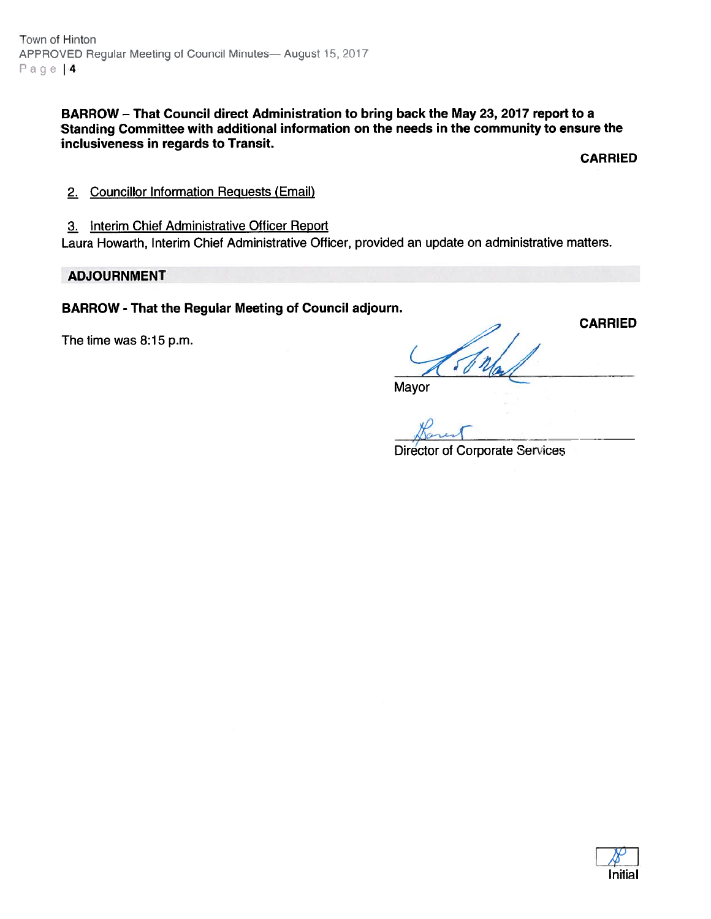BARROW — That Council direct Administration to bring back the May 23, 2017 repor<sup>t</sup> to <sup>a</sup> Standing Committee with additional information on the needs in the community to ensure the inclusiveness in regards to Transit.

CARRIED

CARRIED

- 2. Councillor Intormation Requests (Email)
- 3. Interim Chief Administrative Officer Report

Laura Howarth, Interim Chief Administrative Officer, provided an update on administrative matters.

#### ADJOURNMENT

#### BARROW - That the Regular Meeting of Council adjourn.

The time was 8:15 p.m.

Mayor

rest

Director of Corporate Serices

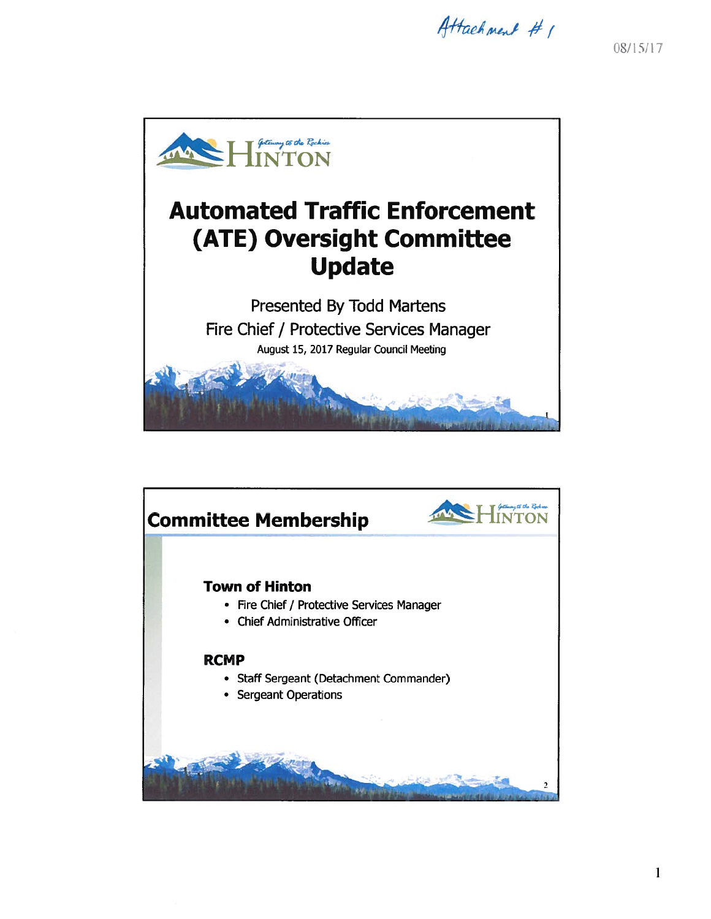Attachment # 1

08/15/17





1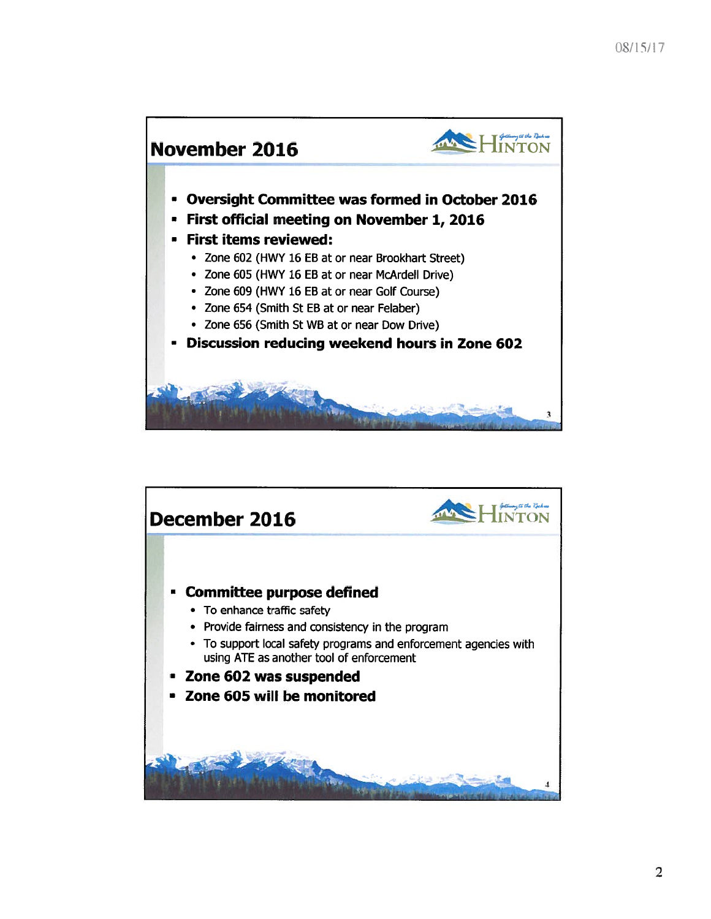

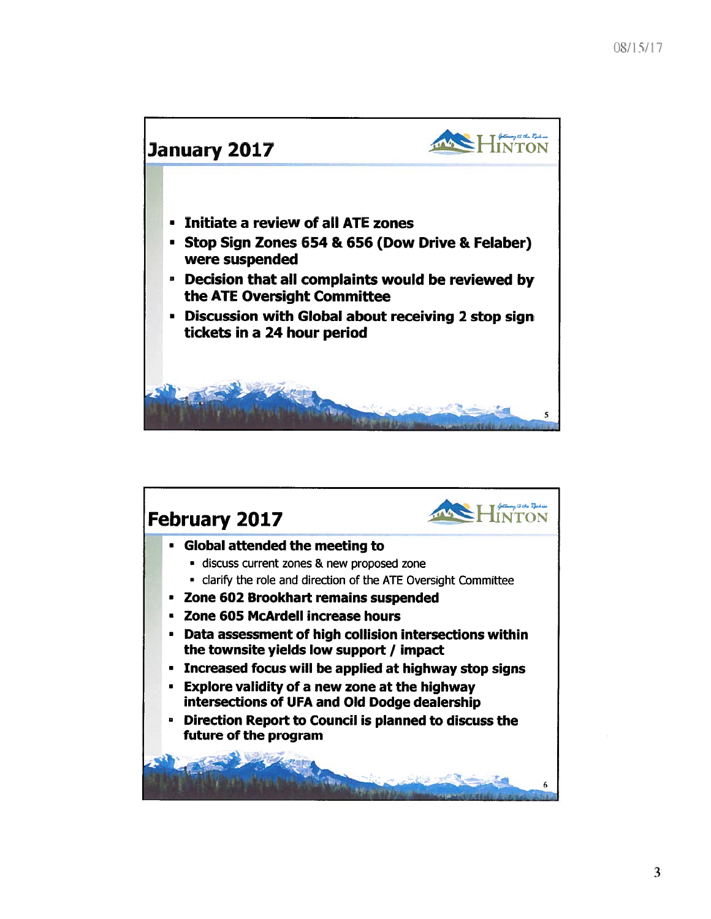

![](_page_6_Picture_2.jpeg)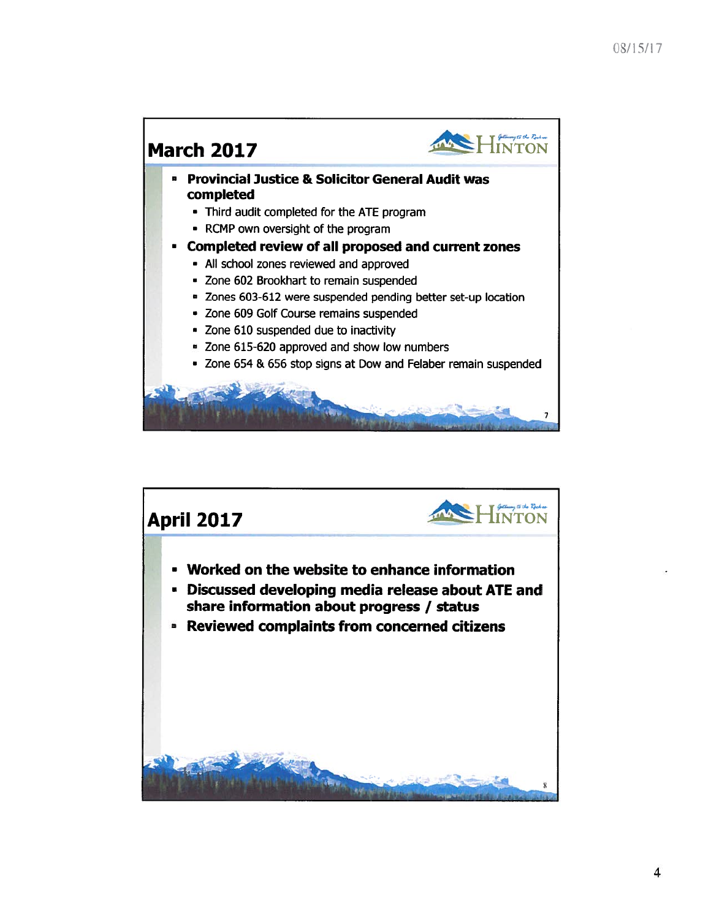![](_page_7_Figure_1.jpeg)

![](_page_7_Picture_2.jpeg)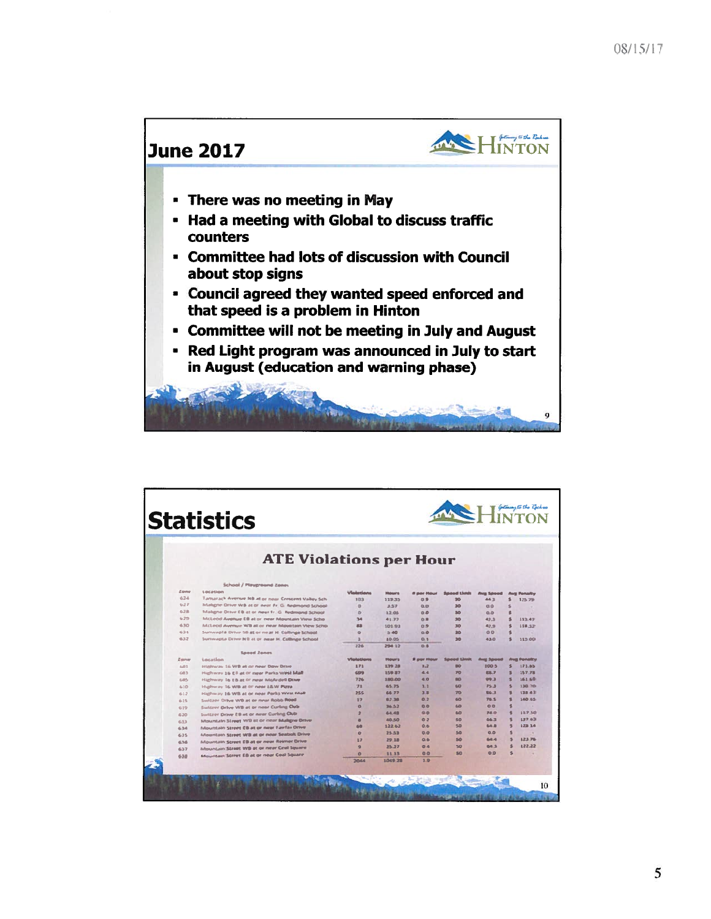![](_page_8_Figure_1.jpeg)

| $H$ MYON<br><b>Statistics</b> |                                                    |              |                |                         |                 |                    |              |                    |  |
|-------------------------------|----------------------------------------------------|--------------|----------------|-------------------------|-----------------|--------------------|--------------|--------------------|--|
|                               | <b>ATE Violations per Hour</b>                     |              |                |                         |                 |                    |              |                    |  |
|                               | School / Playground Zenes                          |              |                |                         |                 |                    |              |                    |  |
| Zone                          | Location                                           | Visieriana   | <b>Highers</b> | <b>II don't Hidrald</b> | Seeed Unit      | <b>Avas Speed</b>  |              | <b>Ponsity</b>     |  |
| 624                           | Tamarack Avenue NB at or near Crescent Valley Sch  | 3.03%        | 119.35         | 0.9                     | 30              | 443                |              | 125.79             |  |
| 2.27                          | Maligne Drive WB at or near Fr. G. Redmond School  | $\alpha$     | 3.37           | <b>GB</b>               | 30              | 0.0                | s            |                    |  |
| 6.2息                          | Makene Drive ( B at or near Fr. G. Redmond School  | $\circ$      | 12.05          | 00                      | 30 <sub>0</sub> | 0.0                | ¢            |                    |  |
| 6.29                          | McLeod Avenue EB at or near Mauntain View Scho     | 34           | 41.77          | ◎血                      | 50              | 42.3               |              | 113.47             |  |
| 630                           | McLeod Avenue WB at or near Mountain View Scho     | 雄盘           | 10191          | 09                      | 30              | 42.9               |              | 118,32             |  |
| 631                           | Surrwagta Drive SB at or near H. Collinge School   | $\circ$      | 3.40           | 0.0                     | 30              | QQ                 | 电            |                    |  |
| 632                           | Surrivagita Drive NB at or near H. Collinge School | $\mathbf{a}$ | 10.05          | 商生                      | 30 <sub>0</sub> | 43.0               |              | 313.00             |  |
|                               |                                                    | 226          | 296 12         | $0$ .                   |                 |                    |              |                    |  |
| Larray                        | Spood Zones<br><b>Location</b>                     | Vlatations   | <b>Hours</b>   | <b>B</b> most Manus     | Saved Limit     | <b>Avec Salesd</b> |              | <b>Avg Penalty</b> |  |
| $6-02$                        | Highway 16 WB at or near Dow Drive                 | 171          | 139 28         | 1.2                     | m               | 100 5              |              | 373.85             |  |
| 603.                          | Highway 16 Cil at or near Parks West Mall          | 699          | <b>350.87</b>  | 44                      | 20              | <b>前期、学</b>        | s            | 157.78             |  |
| 605                           | Highway 16 EB at or rear McArdell Drive            | 726          | <b>SBB.00</b>  | 4.0                     | no              | 09.3               | 张            | 363.69             |  |
| 630                           | Hudrway 16 WB at or neer L&W Plzza                 | 22           | 65.75          | $3 - 2$                 | 64D             | 25.3               | s.           | 110.70             |  |
| 612                           | Highway 16 WB at or near Parks West Mall           | 255          | 66.77          | 3.8                     | 70              | 集長さ                | s            | 123 43             |  |
| 635                           | Switzer Orive WB at or near Robb Road              | 17           | 82.78          | 0.2                     | 60              | <b>76.5</b>        | 生            | <b>140 65</b>      |  |
| 619                           | Switzer Drive WB at or near Curling Club           | $\sigma$     | 33.32          | 0.0                     | 60              | 00                 | 生            |                    |  |
| 620                           | Switzer Drive ES at or near Curling Oub.           | 2            | 64.48          | 0.0                     | 60              | <b>74.0</b>        | 生            | 117.50             |  |
| 633                           | Mountain Street WB at or near Maligne Drive        | 農            | 40.50          | 0.2                     | 50              | 66.3               | s            | 13743              |  |
| 634                           | Mountain Street CB at or near Fairfax Orive        | 69           | 122.62         | 自告                      | <b>SD</b>       | 64.8               | $\mathbf{S}$ | 128.14             |  |
| 635                           | Mountain Street WB at or noar Seabolt Drive        | $\circ$      | 25.53          | 0.0                     | SO <sub>2</sub> | 0.0                | s            |                    |  |
| 636                           | Mountain Street EB at or new Reimer Orive          | 37           | 29.18          | 0.6                     | 50              | 64.4               |              | 123.76             |  |
| 637                           | Mountain Street WB at or near Cral Square          | a            | 25.27          | 0.4                     | 50              | 643                | ¢            | 122,22             |  |
| 633                           | Mountain Street EB at or near Ceal Square          | $\circ$      | 33.33          | 0Q                      | 50              | 0.0                | 玉            |                    |  |
|                               |                                                    | 7044         | 1049.78        | 3.9                     |                 |                    |              |                    |  |
|                               |                                                    |              |                |                         |                 |                    |              |                    |  |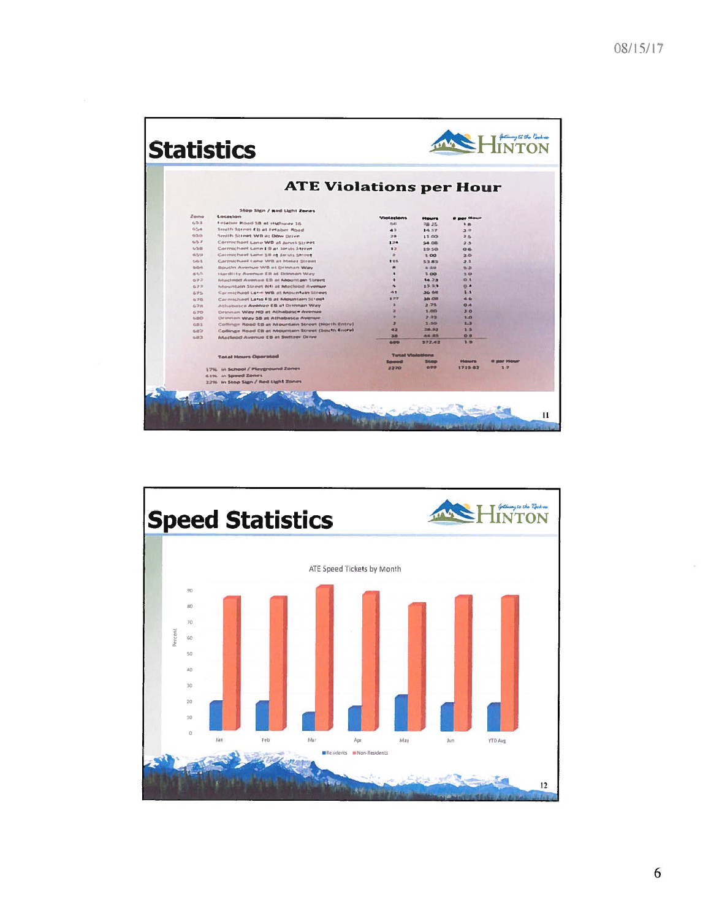|               | <b>ATE Violations per Hour</b>                                                                         |                                |                         |                       |         |
|---------------|--------------------------------------------------------------------------------------------------------|--------------------------------|-------------------------|-----------------------|---------|
|               | Stop Sign / god Light Zenes                                                                            |                                |                         |                       |         |
| Zame          | Locasion                                                                                               | Violations                     | <b>Distances</b>        | <b>If more States</b> |         |
| 4.5.3         | Finlation Road SB at Highway 16                                                                        | IS43                           | □用 2名                   | 1.8                   |         |
| $45.5 - 46$   | Smith Street £1i at Felaber Road                                                                       | 43                             | 14.52                   | 3.01                  |         |
| 45.55.65      | Smith Street WB at Dow Drive                                                                           | 216                            | 81.00                   | 3.5                   |         |
| 4, 5, 8       | Cormichael Lane WB at Jurys Street                                                                     | 134                            | 54.08                   | 2.3                   |         |
| 4.5.88        | Corrolcheel Cenn ( B at Jarvis Street                                                                  | 5 <sup>2</sup>                 | <b>1958</b>             | 0.6                   |         |
| 659           | Correcheel Lene SB at Jarvis Street                                                                    |                                | 100                     | 2.0                   |         |
| $E_1/E_2$ $2$ | Carrnichael Lane WB at Maler Street                                                                    | 115                            | 生生 縣生                   | 本 生                   |         |
| 0-0-0         | Bouth Avenue WB at Drinnan Way                                                                         |                                | 3.50                    | 9.3                   |         |
| 高齢化           | Hardlity Avenue EB at Drimnen Way                                                                      |                                | 3.00                    | 3.0                   |         |
| 673           | Macleod Avenue EB at Mountain Street                                                                   |                                | 14.23                   | 0.1                   |         |
| GJ3           | Mountain Street NH at Idecleod Avenue                                                                  |                                | 12.33                   | $\sqrt{2}$<br>B       |         |
| ムツル           | Carmichael Lane WB at Mountain Street                                                                  | 选集                             | 36 68                   | A 5.                  |         |
| 4,245         | Cermiched Lane Ett at Mountain Street                                                                  | 377                            | 38.00<br>2.75           | O <sub>A</sub>        |         |
| 6.7月          | Athabetca Avenue (B at Drinnan Way                                                                     |                                | 3,000                   | 20                    |         |
| 6.70          | Drimnan Way N9 at Athabasca Avenue                                                                     |                                | 2.33                    | 1.0                   |         |
| 6.80          | Drennan Way 58 at Athabasca Avenue                                                                     | $\overline{\mathbf{z}}$        | 1,50                    | 2.3                   |         |
| 直接文           | Collings Road EB at Mountain Street (North Entry)<br>Collinge Road EB at Mountain Street (South Entry) | 42                             | 38.92                   | 3.5                   |         |
| 6.87          |                                                                                                        | 38                             | 44.85                   | 08                    |         |
| $6 - 3$       | Macleod Avenue EB at Switzer Drive                                                                     | 641                            | 372.42                  | 2.9                   |         |
|               | <b>Total Hours Operated</b>                                                                            |                                | <b>Texal Violations</b> |                       |         |
|               |                                                                                                        | <b><i><u>Statement</u></i></b> | Steam                   |                       |         |
|               | 17% in School / Playground Zones                                                                       | 2270                           | 699                     | 171542                | $3 - 7$ |
|               | 6.1% in Sowed Zones                                                                                    |                                |                         |                       |         |
|               | 2.2% In Stop Sign / Red Light Zones                                                                    |                                |                         |                       |         |

![](_page_9_Figure_2.jpeg)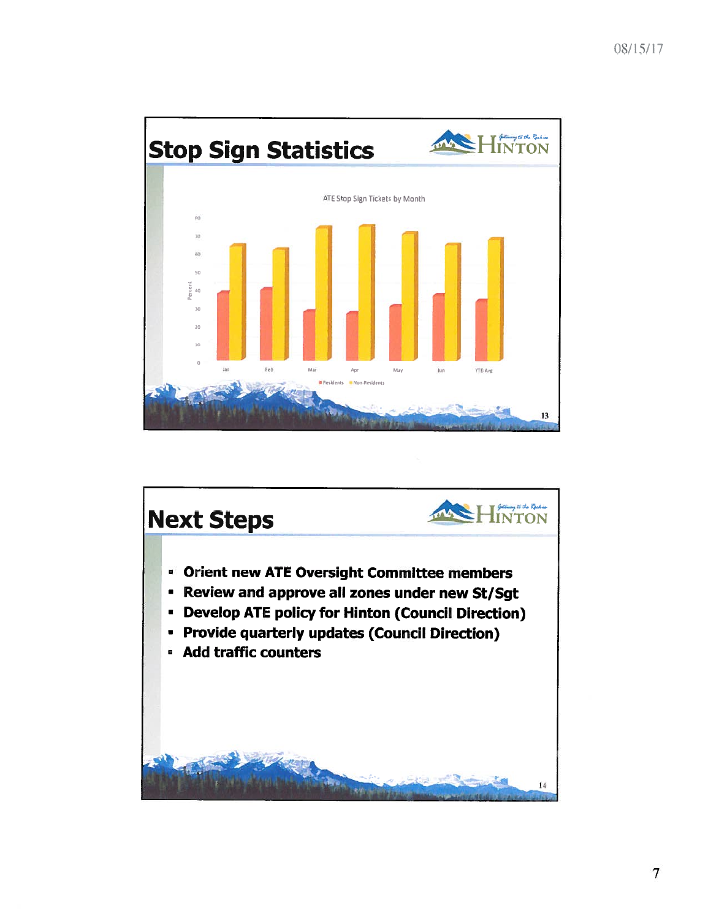![](_page_10_Figure_1.jpeg)

![](_page_10_Picture_2.jpeg)